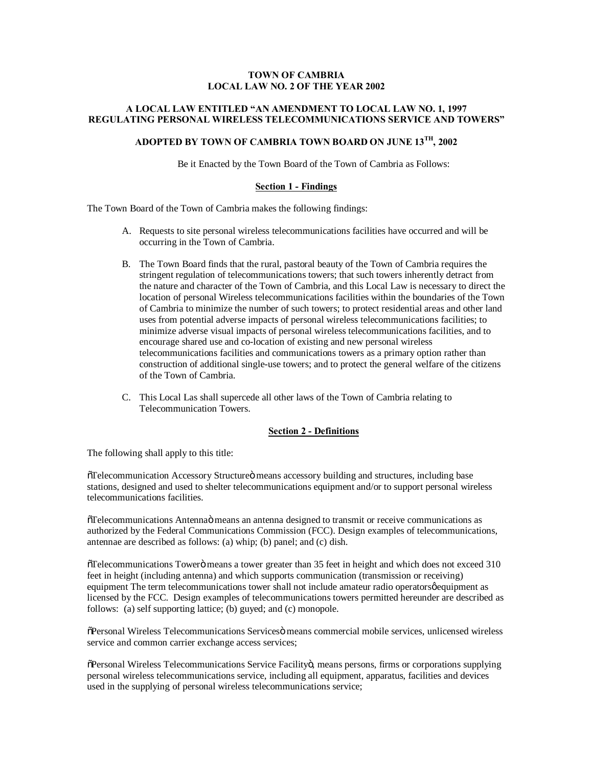## **TOWN OF CAMBRIA LOCAL LAW NO. 2 OF THE YEAR 2002**

## **A LOCAL LAW ENTITLED "AN AMENDMENT TO LOCAL LAW NO. 1, 1997 REGULATING PERSONAL WIRELESS TELECOMMUNICATIONS SERVICE AND TOWERS"**

# **ADOPTED BY TOWN OF CAMBRIA TOWN BOARD ON JUNE 13TH, 2002**

Be it Enacted by the Town Board of the Town of Cambria as Follows:

#### **Section 1 - Findings**

The Town Board of the Town of Cambria makes the following findings:

- A. Requests to site personal wireless telecommunications facilities have occurred and will be occurring in the Town of Cambria.
- B. The Town Board finds that the rural, pastoral beauty of the Town of Cambria requires the stringent regulation of telecommunications towers; that such towers inherently detract from the nature and character of the Town of Cambria, and this Local Law is necessary to direct the location of personal Wireless telecommunications facilities within the boundaries of the Town of Cambria to minimize the number of such towers; to protect residential areas and other land uses from potential adverse impacts of personal wireless telecommunications facilities; to minimize adverse visual impacts of personal wireless telecommunications facilities, and to encourage shared use and co-location of existing and new personal wireless telecommunications facilities and communications towers as a primary option rather than construction of additional single-use towers; and to protect the general welfare of the citizens of the Town of Cambria.
- C. This Local Las shall supercede all other laws of the Town of Cambria relating to Telecommunication Towers.

## **Section 2 - Definitions**

The following shall apply to this title:

 $\delta$ Telecommunication Accessory Structure ö means accessory building and structures, including base stations, designed and used to shelter telecommunications equipment and/or to support personal wireless telecommunications facilities.

 $\delta$ Telecommunications Antenna $\ddot{o}$  means an antenna designed to transmit or receive communications as authorized by the Federal Communications Commission (FCC). Design examples of telecommunications, antennae are described as follows: (a) whip; (b) panel; and (c) dish.

 $\delta$ Telecommunications Towerö means a tower greater than 35 feet in height and which does not exceed 310 feet in height (including antenna) and which supports communication (transmission or receiving) equipment The term telecommunications tower shall not include amateur radio operators gequipment as licensed by the FCC. Design examples of telecommunications towers permitted hereunder are described as follows: (a) self supporting lattice; (b) guyed; and (c) monopole.

 $\tilde{\text{O}}$ Personal Wireless Telecommunications Services means commercial mobile services, unlicensed wireless service and common carrier exchange access services;

 $\delta$ Personal Wireless Telecommunications Service Facilityö, means persons, firms or corporations supplying personal wireless telecommunications service, including all equipment, apparatus, facilities and devices used in the supplying of personal wireless telecommunications service;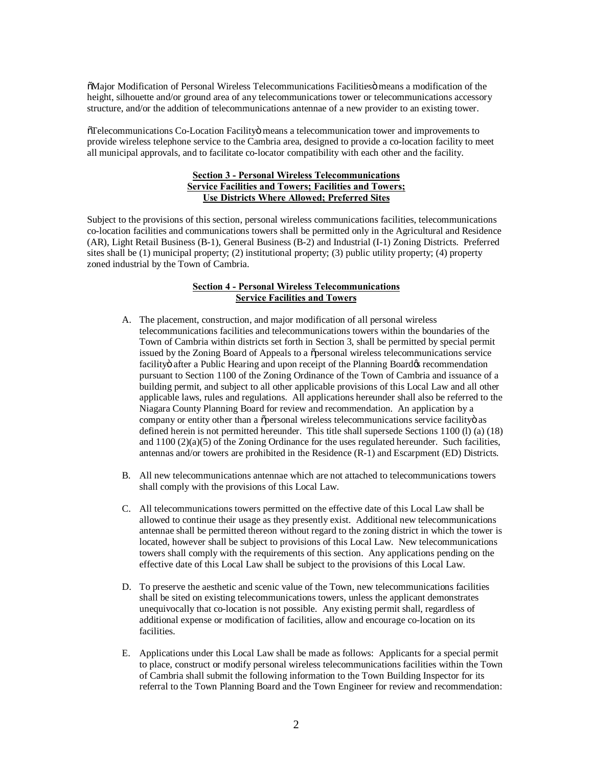$\delta$ Major Modification of Personal Wireless Telecommunications Facilities means a modification of the height, silhouette and/or ground area of any telecommunications tower or telecommunications accessory structure, and/or the addition of telecommunications antennae of a new provider to an existing tower.

 $\tilde{C}$ Telecommunications Co-Location Facilityö means a telecommunication tower and improvements to provide wireless telephone service to the Cambria area, designed to provide a co-location facility to meet all municipal approvals, and to facilitate co-locator compatibility with each other and the facility.

## **Section 3 - Personal Wireless Telecommunications Service Facilities and Towers; Facilities and Towers; Use Districts Where Allowed; Preferred Sites**

Subject to the provisions of this section, personal wireless communications facilities, telecommunications co-location facilities and communications towers shall be permitted only in the Agricultural and Residence (AR), Light Retail Business (B-1), General Business (B-2) and Industrial (I-1) Zoning Districts. Preferred sites shall be (1) municipal property; (2) institutional property; (3) public utility property; (4) property zoned industrial by the Town of Cambria.

## **Section 4 - Personal Wireless Telecommunications Service Facilities and Towers**

- A. The placement, construction, and major modification of all personal wireless telecommunications facilities and telecommunications towers within the boundaries of the Town of Cambria within districts set forth in Section 3, shall be permitted by special permit issued by the Zoning Board of Appeals to a õpersonal wireless telecommunications service facility after a Public Hearing and upon receipt of the Planning Board & recommendation pursuant to Section 1100 of the Zoning Ordinance of the Town of Cambria and issuance of a building permit, and subject to all other applicable provisions of this Local Law and all other applicable laws, rules and regulations. All applications hereunder shall also be referred to the Niagara County Planning Board for review and recommendation. An application by a company or entity other than a õpersonal wireless telecommunications service facilityö as defined herein is not permitted hereunder. This title shall supersede Sections 1100 (l) (a) (18) and  $1100 (2)(a)(5)$  of the Zoning Ordinance for the uses regulated hereunder. Such facilities, antennas and/or towers are prohibited in the Residence (R-1) and Escarpment (ED) Districts.
- B. All new telecommunications antennae which are not attached to telecommunications towers shall comply with the provisions of this Local Law.
- C. All telecommunications towers permitted on the effective date of this Local Law shall be allowed to continue their usage as they presently exist. Additional new telecommunications antennae shall be permitted thereon without regard to the zoning district in which the tower is located, however shall be subject to provisions of this Local Law. New telecommunications towers shall comply with the requirements of this section. Any applications pending on the effective date of this Local Law shall be subject to the provisions of this Local Law.
- D. To preserve the aesthetic and scenic value of the Town, new telecommunications facilities shall be sited on existing telecommunications towers, unless the applicant demonstrates unequivocally that co-location is not possible. Any existing permit shall, regardless of additional expense or modification of facilities, allow and encourage co-location on its facilities.
- E. Applications under this Local Law shall be made as follows: Applicants for a special permit to place, construct or modify personal wireless telecommunications facilities within the Town of Cambria shall submit the following information to the Town Building Inspector for its referral to the Town Planning Board and the Town Engineer for review and recommendation: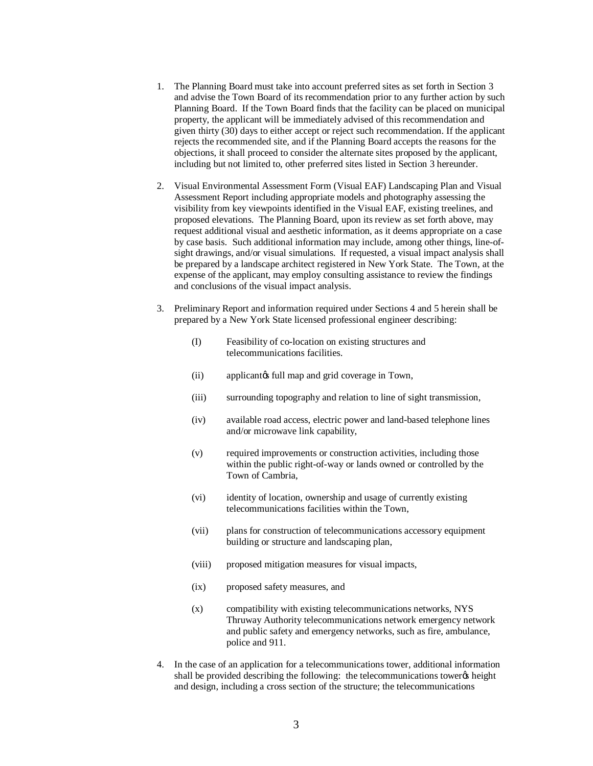- 1. The Planning Board must take into account preferred sites as set forth in Section 3 and advise the Town Board of its recommendation prior to any further action by such Planning Board. If the Town Board finds that the facility can be placed on municipal property, the applicant will be immediately advised of this recommendation and given thirty (30) days to either accept or reject such recommendation. If the applicant rejects the recommended site, and if the Planning Board accepts the reasons for the objections, it shall proceed to consider the alternate sites proposed by the applicant, including but not limited to, other preferred sites listed in Section 3 hereunder.
- 2. Visual Environmental Assessment Form (Visual EAF) Landscaping Plan and Visual Assessment Report including appropriate models and photography assessing the visibility from key viewpoints identified in the Visual EAF, existing treelines, and proposed elevations. The Planning Board, upon its review as set forth above, may request additional visual and aesthetic information, as it deems appropriate on a case by case basis. Such additional information may include, among other things, line-ofsight drawings, and/or visual simulations. If requested, a visual impact analysis shall be prepared by a landscape architect registered in New York State. The Town, at the expense of the applicant, may employ consulting assistance to review the findings and conclusions of the visual impact analysis.
- 3. Preliminary Report and information required under Sections 4 and 5 herein shall be prepared by a New York State licensed professional engineer describing:
	- (I) Feasibility of co-location on existing structures and telecommunications facilities.
	- (ii) applicant is full map and grid coverage in Town,
	- (iii) surrounding topography and relation to line of sight transmission,
	- (iv) available road access, electric power and land-based telephone lines and/or microwave link capability,
	- (v) required improvements or construction activities, including those within the public right-of-way or lands owned or controlled by the Town of Cambria,
	- (vi) identity of location, ownership and usage of currently existing telecommunications facilities within the Town,
	- (vii) plans for construction of telecommunications accessory equipment building or structure and landscaping plan,
	- (viii) proposed mitigation measures for visual impacts,
	- (ix) proposed safety measures, and
	- (x) compatibility with existing telecommunications networks, NYS Thruway Authority telecommunications network emergency network and public safety and emergency networks, such as fire, ambulance, police and 911.
- 4. In the case of an application for a telecommunications tower, additional information shall be provided describing the following: the telecommunications tower & height and design, including a cross section of the structure; the telecommunications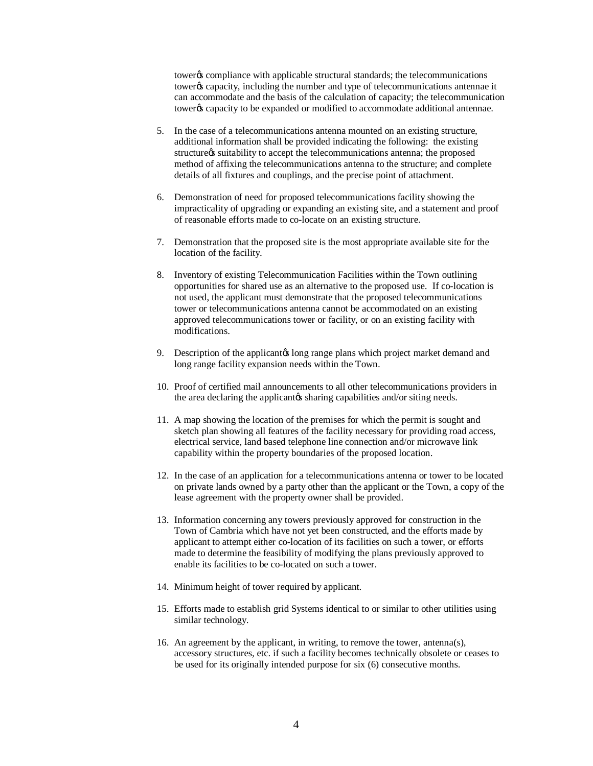tower% compliance with applicable structural standards; the telecommunications tower% capacity, including the number and type of telecommunications antennae it can accommodate and the basis of the calculation of capacity; the telecommunication tower% capacity to be expanded or modified to accommodate additional antennae.

- 5. In the case of a telecommunications antenna mounted on an existing structure, additional information shall be provided indicating the following: the existing structure as suitability to accept the telecommunications antenna; the proposed method of affixing the telecommunications antenna to the structure; and complete details of all fixtures and couplings, and the precise point of attachment.
- 6. Demonstration of need for proposed telecommunications facility showing the impracticality of upgrading or expanding an existing site, and a statement and proof of reasonable efforts made to co-locate on an existing structure.
- 7. Demonstration that the proposed site is the most appropriate available site for the location of the facility.
- 8. Inventory of existing Telecommunication Facilities within the Town outlining opportunities for shared use as an alternative to the proposed use. If co-location is not used, the applicant must demonstrate that the proposed telecommunications tower or telecommunications antenna cannot be accommodated on an existing approved telecommunications tower or facility, or on an existing facility with modifications.
- 9. Description of the applicant to long range plans which project market demand and long range facility expansion needs within the Town.
- 10. Proof of certified mail announcements to all other telecommunications providers in the area declaring the applicant ts sharing capabilities and/or siting needs.
- 11. A map showing the location of the premises for which the permit is sought and sketch plan showing all features of the facility necessary for providing road access, electrical service, land based telephone line connection and/or microwave link capability within the property boundaries of the proposed location.
- 12. In the case of an application for a telecommunications antenna or tower to be located on private lands owned by a party other than the applicant or the Town, a copy of the lease agreement with the property owner shall be provided.
- 13. Information concerning any towers previously approved for construction in the Town of Cambria which have not yet been constructed, and the efforts made by applicant to attempt either co-location of its facilities on such a tower, or efforts made to determine the feasibility of modifying the plans previously approved to enable its facilities to be co-located on such a tower.
- 14. Minimum height of tower required by applicant.
- 15. Efforts made to establish grid Systems identical to or similar to other utilities using similar technology.
- 16. An agreement by the applicant, in writing, to remove the tower, antenna(s), accessory structures, etc. if such a facility becomes technically obsolete or ceases to be used for its originally intended purpose for six (6) consecutive months.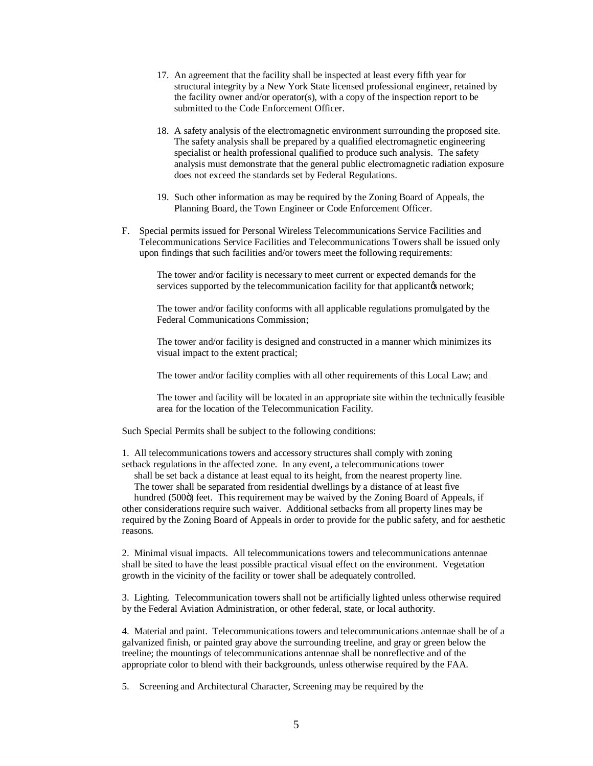- 17. An agreement that the facility shall be inspected at least every fifth year for structural integrity by a New York State licensed professional engineer, retained by the facility owner and/or operator(s), with a copy of the inspection report to be submitted to the Code Enforcement Officer.
- 18. A safety analysis of the electromagnetic environment surrounding the proposed site. The safety analysis shall be prepared by a qualified electromagnetic engineering specialist or health professional qualified to produce such analysis. The safety analysis must demonstrate that the general public electromagnetic radiation exposure does not exceed the standards set by Federal Regulations.
- 19. Such other information as may be required by the Zoning Board of Appeals, the Planning Board, the Town Engineer or Code Enforcement Officer.
- F. Special permits issued for Personal Wireless Telecommunications Service Facilities and Telecommunications Service Facilities and Telecommunications Towers shall be issued only upon findings that such facilities and/or towers meet the following requirements:

The tower and/or facility is necessary to meet current or expected demands for the services supported by the telecommunication facility for that applicant to network;

The tower and/or facility conforms with all applicable regulations promulgated by the Federal Communications Commission;

The tower and/or facility is designed and constructed in a manner which minimizes its visual impact to the extent practical;

The tower and/or facility complies with all other requirements of this Local Law; and

The tower and facility will be located in an appropriate site within the technically feasible area for the location of the Telecommunication Facility.

Such Special Permits shall be subject to the following conditions:

1. All telecommunications towers and accessory structures shall comply with zoning setback regulations in the affected zone. In any event, a telecommunications tower

 shall be set back a distance at least equal to its height, from the nearest property line. The tower shall be separated from residential dwellings by a distance of at least five

hundred (500 $\ddot{o}$ ) feet. This requirement may be waived by the Zoning Board of Appeals, if other considerations require such waiver. Additional setbacks from all property lines may be required by the Zoning Board of Appeals in order to provide for the public safety, and for aesthetic reasons.

2. Minimal visual impacts. All telecommunications towers and telecommunications antennae shall be sited to have the least possible practical visual effect on the environment. Vegetation growth in the vicinity of the facility or tower shall be adequately controlled.

3. Lighting. Telecommunication towers shall not be artificially lighted unless otherwise required by the Federal Aviation Administration, or other federal, state, or local authority.

4. Material and paint. Telecommunications towers and telecommunications antennae shall be of a galvanized finish, or painted gray above the surrounding treeline, and gray or green below the treeline; the mountings of telecommunications antennae shall be nonreflective and of the appropriate color to blend with their backgrounds, unless otherwise required by the FAA.

5. Screening and Architectural Character, Screening may be required by the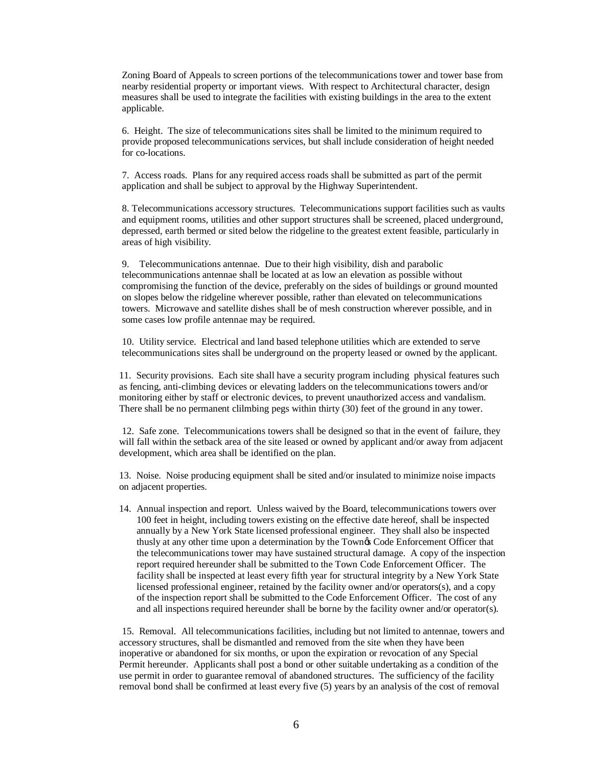Zoning Board of Appeals to screen portions of the telecommunications tower and tower base from nearby residential property or important views. With respect to Architectural character, design measures shall be used to integrate the facilities with existing buildings in the area to the extent applicable.

6. Height. The size of telecommunications sites shall be limited to the minimum required to provide proposed telecommunications services, but shall include consideration of height needed for co-locations.

7. Access roads. Plans for any required access roads shall be submitted as part of the permit application and shall be subject to approval by the Highway Superintendent.

8. Telecommunications accessory structures. Telecommunications support facilities such as vaults and equipment rooms, utilities and other support structures shall be screened, placed underground, depressed, earth bermed or sited below the ridgeline to the greatest extent feasible, particularly in areas of high visibility.

9. Telecommunications antennae. Due to their high visibility, dish and parabolic telecommunications antennae shall be located at as low an elevation as possible without compromising the function of the device, preferably on the sides of buildings or ground mounted on slopes below the ridgeline wherever possible, rather than elevated on telecommunications towers. Microwave and satellite dishes shall be of mesh construction wherever possible, and in some cases low profile antennae may be required.

10. Utility service. Electrical and land based telephone utilities which are extended to serve telecommunications sites shall be underground on the property leased or owned by the applicant.

11. Security provisions. Each site shall have a security program including physical features such as fencing, anti-climbing devices or elevating ladders on the telecommunications towers and/or monitoring either by staff or electronic devices, to prevent unauthorized access and vandalism. There shall be no permanent clilmbing pegs within thirty (30) feet of the ground in any tower.

12. Safe zone. Telecommunications towers shall be designed so that in the event of failure, they will fall within the setback area of the site leased or owned by applicant and/or away from adjacent development, which area shall be identified on the plan.

13. Noise. Noise producing equipment shall be sited and/or insulated to minimize noise impacts on adjacent properties.

14. Annual inspection and report. Unless waived by the Board, telecommunications towers over 100 feet in height, including towers existing on the effective date hereof, shall be inspected annually by a New York State licensed professional engineer. They shall also be inspected thusly at any other time upon a determination by the Town's Code Enforcement Officer that the telecommunications tower may have sustained structural damage. A copy of the inspection report required hereunder shall be submitted to the Town Code Enforcement Officer. The facility shall be inspected at least every fifth year for structural integrity by a New York State licensed professional engineer, retained by the facility owner and/or operators(s), and a copy of the inspection report shall be submitted to the Code Enforcement Officer. The cost of any and all inspections required hereunder shall be borne by the facility owner and/or operator(s).

15. Removal. All telecommunications facilities, including but not limited to antennae, towers and accessory structures, shall be dismantled and removed from the site when they have been inoperative or abandoned for six months, or upon the expiration or revocation of any Special Permit hereunder. Applicants shall post a bond or other suitable undertaking as a condition of the use permit in order to guarantee removal of abandoned structures. The sufficiency of the facility removal bond shall be confirmed at least every five (5) years by an analysis of the cost of removal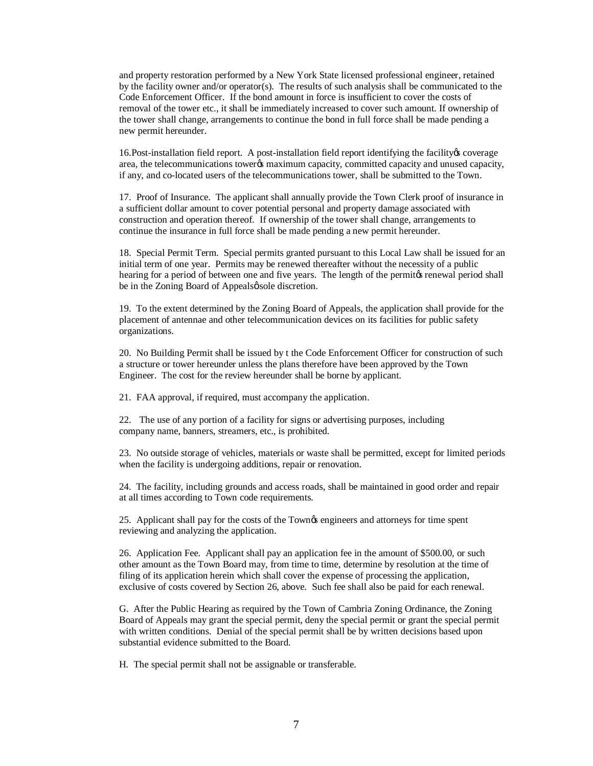and property restoration performed by a New York State licensed professional engineer, retained by the facility owner and/or operator(s). The results of such analysis shall be communicated to the Code Enforcement Officer. If the bond amount in force is insufficient to cover the costs of removal of the tower etc., it shall be immediately increased to cover such amount. If ownership of the tower shall change, arrangements to continue the bond in full force shall be made pending a new permit hereunder.

16.Post-installation field report. A post-installation field report identifying the facility's coverage area, the telecommunications tower% maximum capacity, committed capacity and unused capacity, if any, and co-located users of the telecommunications tower, shall be submitted to the Town.

17. Proof of Insurance. The applicant shall annually provide the Town Clerk proof of insurance in a sufficient dollar amount to cover potential personal and property damage associated with construction and operation thereof. If ownership of the tower shall change, arrangements to continue the insurance in full force shall be made pending a new permit hereunder.

18. Special Permit Term. Special permits granted pursuant to this Local Law shall be issued for an initial term of one year. Permits may be renewed thereafter without the necessity of a public hearing for a period of between one and five years. The length of the permit period shall be in the Zoning Board of Appealsø sole discretion.

19. To the extent determined by the Zoning Board of Appeals, the application shall provide for the placement of antennae and other telecommunication devices on its facilities for public safety organizations.

20. No Building Permit shall be issued by t the Code Enforcement Officer for construction of such a structure or tower hereunder unless the plans therefore have been approved by the Town Engineer. The cost for the review hereunder shall be borne by applicant.

21. FAA approval, if required, must accompany the application.

22. The use of any portion of a facility for signs or advertising purposes, including company name, banners, streamers, etc., is prohibited.

23. No outside storage of vehicles, materials or waste shall be permitted, except for limited periods when the facility is undergoing additions, repair or renovation.

24. The facility, including grounds and access roads, shall be maintained in good order and repair at all times according to Town code requirements.

25. Applicant shall pay for the costs of the Town's engineers and attorneys for time spent reviewing and analyzing the application.

26. Application Fee. Applicant shall pay an application fee in the amount of \$500.00, or such other amount as the Town Board may, from time to time, determine by resolution at the time of filing of its application herein which shall cover the expense of processing the application, exclusive of costs covered by Section 26, above. Such fee shall also be paid for each renewal.

G. After the Public Hearing as required by the Town of Cambria Zoning Ordinance, the Zoning Board of Appeals may grant the special permit, deny the special permit or grant the special permit with written conditions. Denial of the special permit shall be by written decisions based upon substantial evidence submitted to the Board.

H. The special permit shall not be assignable or transferable.